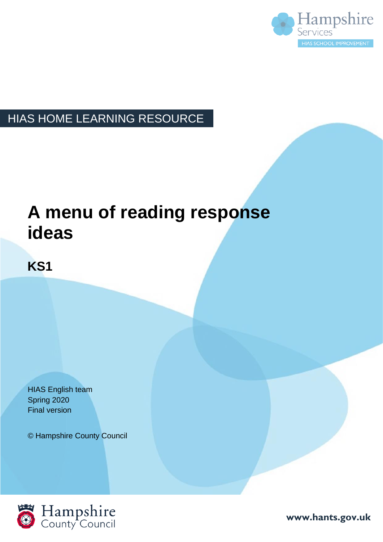

#### HIAS HOME LEARNING RESOURCE

### **A menu of reading response ideas**

#### **KS1**

HIAS English team Spring 2020 Final version

© Hampshire County Council



**www.hants.gov.uk**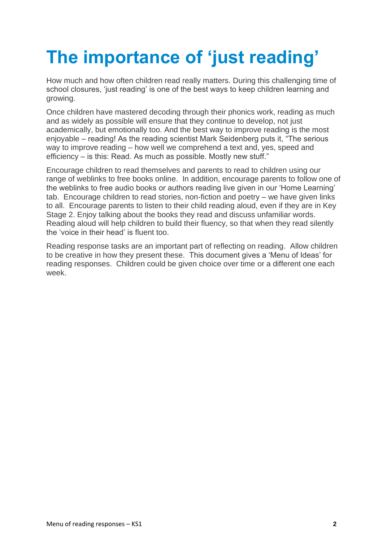# **The importance of 'just reading'**

How much and how often children read really matters. During this challenging time of school closures, 'just reading' is one of the best ways to keep children learning and growing.

Once children have mastered decoding through their phonics work, reading as much and as widely as possible will ensure that they continue to develop, not just academically, but emotionally too. And the best way to improve reading is the most enjoyable – reading! As the reading scientist Mark Seidenberg puts it, "The serious way to improve reading – how well we comprehend a text and, yes, speed and efficiency – is this: Read. As much as possible. Mostly new stuff."

Encourage children to read themselves and parents to read to children using our range of weblinks to free books online. In addition, encourage parents to follow one of the weblinks to free audio books or authors reading live given in our 'Home Learning' tab. Encourage children to read stories, non-fiction and poetry – we have given links to all. Encourage parents to listen to their child reading aloud, even if they are in Key Stage 2. Enjoy talking about the books they read and discuss unfamiliar words. Reading aloud will help children to build their fluency, so that when they read silently the 'voice in their head' is fluent too.

Reading response tasks are an important part of reflecting on reading. Allow children to be creative in how they present these. This document gives a 'Menu of Ideas' for reading responses. Children could be given choice over time or a different one each week.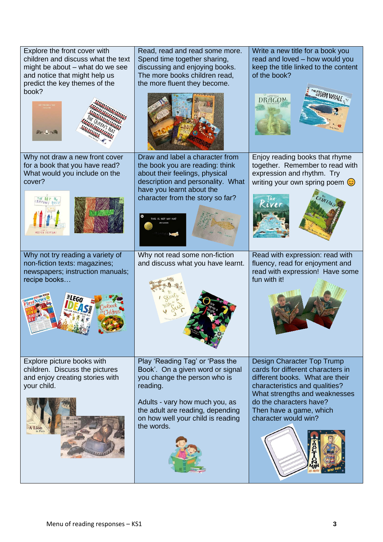| Explore the front cover with<br>children and discuss what the text<br>might be about - what do we see<br>and notice that might help us<br>predict the key themes of the<br>book?<br>$are - 27$ | Read, read and read some more.<br>Spend time together sharing,<br>discussing and enjoying books.<br>The more books children read,<br>the more fluent they become.                                                                        | Write a new title for a book you<br>read and loved - how would you<br>keep the title linked to the content<br>of the book?<br>TORM WHALE,<br><b>DRAGON</b>                                                                                          |
|------------------------------------------------------------------------------------------------------------------------------------------------------------------------------------------------|------------------------------------------------------------------------------------------------------------------------------------------------------------------------------------------------------------------------------------------|-----------------------------------------------------------------------------------------------------------------------------------------------------------------------------------------------------------------------------------------------------|
| Why not draw a new front cover<br>for a book that you have read?<br>What would you include on the<br>cover?<br><b>DETURN TEFFERS</b>                                                           | Draw and label a character from<br>the book you are reading: think<br>about their feelings, physical<br>description and personality. What<br>have you learnt about the<br>character from the story so far?<br>THIS IS NOT MY HAT         | Enjoy reading books that rhyme<br>together. Remember to read with<br>expression and rhythm. Try<br>writing your own spring poem $\odot$                                                                                                             |
| Why not try reading a variety of<br>non-fiction texts: magazines;<br>newspapers; instruction manuals;<br>recipe books<br>≋LEG(                                                                 | Why not read some non-fiction<br>and discuss what you have learnt.                                                                                                                                                                       | Read with expression: read with<br>fluency, read for enjoyment and<br>read with expression! Have some<br>fun with it!                                                                                                                               |
| Explore picture books with<br>children. Discuss the pictures<br>and enjoy creating stories with<br>your child.                                                                                 | Play 'Reading Tag' or 'Pass the<br>Book'. On a given word or signal<br>you change the person who is<br>reading.<br>Adults - vary how much you, as<br>the adult are reading, depending<br>on how well your child is reading<br>the words. | Design Character Top Trump<br>cards for different characters in<br>different books. What are their<br>characteristics and qualities?<br>What strengths and weaknesses<br>do the characters have?<br>Then have a game, which<br>character would win? |